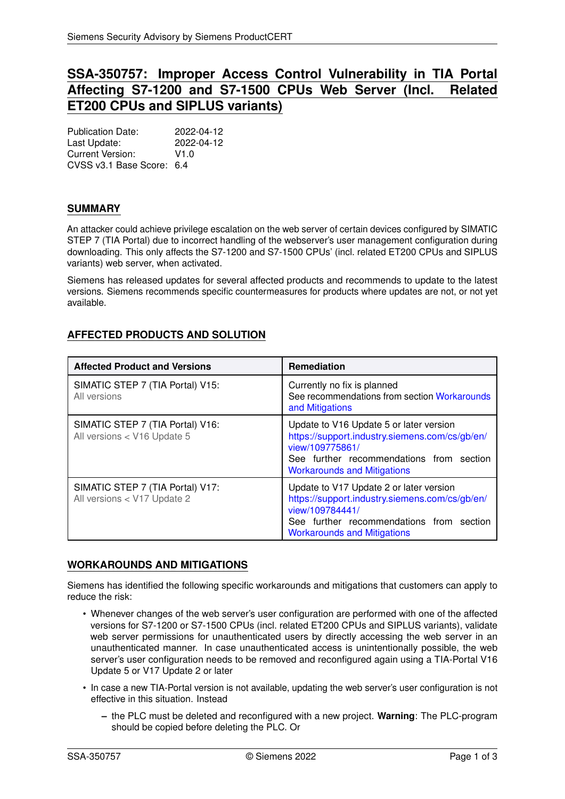# **SSA-350757: Improper Access Control Vulnerability in TIA Portal Affecting S7-1200 and S7-1500 CPUs Web Server (Incl. Related ET200 CPUs and SIPLUS variants)**

Publication Date: 2022-04-12<br>
Last Undate: 2022-04-12 Last Update: Current Version: V1.0 CVSS v3.1 Base Score: 6.4

## **SUMMARY**

An attacker could achieve privilege escalation on the web server of certain devices configured by SIMATIC STEP 7 (TIA Portal) due to incorrect handling of the webserver's user management configuration during downloading. This only affects the S7-1200 and S7-1500 CPUs' (incl. related ET200 CPUs and SIPLUS variants) web server, when activated.

Siemens has released updates for several affected products and recommends to update to the latest versions. Siemens recommends specific countermeasures for products where updates are not, or not yet available.

## <span id="page-0-1"></span>**AFFECTED PRODUCTS AND SOLUTION**

| <b>Affected Product and Versions</b>                            | <b>Remediation</b>                                                                                                                                                                             |
|-----------------------------------------------------------------|------------------------------------------------------------------------------------------------------------------------------------------------------------------------------------------------|
| SIMATIC STEP 7 (TIA Portal) V15:<br>All versions                | Currently no fix is planned<br>See recommendations from section Workarounds<br>and Mitigations                                                                                                 |
| SIMATIC STEP 7 (TIA Portal) V16:<br>All versions < V16 Update 5 | Update to V16 Update 5 or later version<br>https://support.industry.siemens.com/cs/gb/en/<br>view/109775861/<br>See further recommendations from section<br><b>Workarounds and Mitigations</b> |
| SIMATIC STEP 7 (TIA Portal) V17:<br>All versions < V17 Update 2 | Update to V17 Update 2 or later version<br>https://support.industry.siemens.com/cs/gb/en/<br>view/109784441/<br>See further recommendations from section<br><b>Workarounds and Mitigations</b> |

#### <span id="page-0-0"></span>**WORKAROUNDS AND MITIGATIONS**

Siemens has identified the following specific workarounds and mitigations that customers can apply to reduce the risk:

- Whenever changes of the web server's user configuration are performed with one of the affected versions for S7-1200 or S7-1500 CPUs (incl. related ET200 CPUs and SIPLUS variants), validate web server permissions for unauthenticated users by directly accessing the web server in an unauthenticated manner. In case unauthenticated access is unintentionally possible, the web server's user configuration needs to be removed and reconfigured again using a TIA-Portal V16 Update 5 or V17 Update 2 or later
- In case a new TIA-Portal version is not available, updating the web server's user configuration is not effective in this situation. Instead
	- **–** the PLC must be deleted and reconfigured with a new project. **Warning**: The PLC-program should be copied before deleting the PLC. Or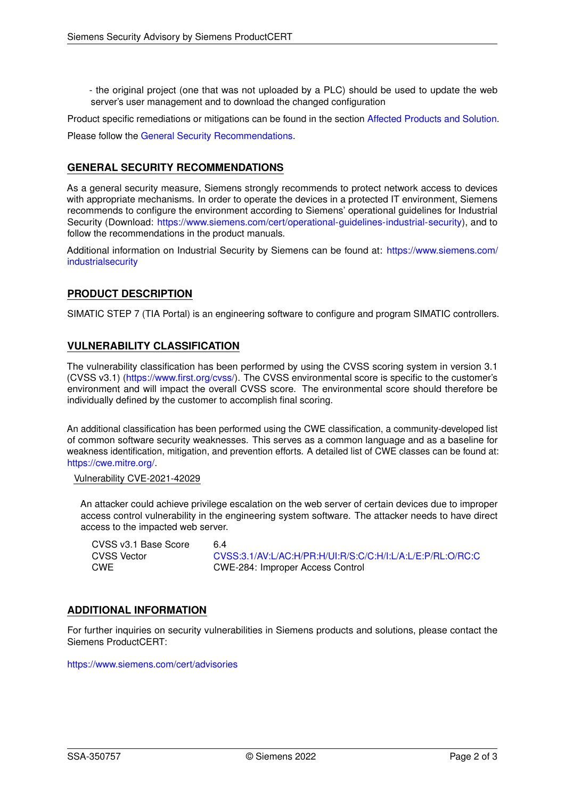- the original project (one that was not uploaded by a PLC) should be used to update the web server's user management and to download the changed configuration

Product specific remediations or mitigations can be found in the section [Affected Products and Solution.](#page-0-1)

<span id="page-1-0"></span>Please follow the [General Security Recommendations.](#page-1-0)

## **GENERAL SECURITY RECOMMENDATIONS**

As a general security measure, Siemens strongly recommends to protect network access to devices with appropriate mechanisms. In order to operate the devices in a protected IT environment, Siemens recommends to configure the environment according to Siemens' operational guidelines for Industrial Security (Download: [https://www.siemens.com/cert/operational-guidelines-industrial-security\)](https://www.siemens.com/cert/operational-guidelines-industrial-security), and to follow the recommendations in the product manuals.

Additional information on Industrial Security by Siemens can be found at: [https://www.siemens.com/](https://www.siemens.com/industrialsecurity) [industrialsecurity](https://www.siemens.com/industrialsecurity)

### **PRODUCT DESCRIPTION**

SIMATIC STEP 7 (TIA Portal) is an engineering software to configure and program SIMATIC controllers.

#### **VULNERABILITY CLASSIFICATION**

The vulnerability classification has been performed by using the CVSS scoring system in version 3.1 (CVSS v3.1) [\(https://www.first.org/cvss/\)](https://www.first.org/cvss/). The CVSS environmental score is specific to the customer's environment and will impact the overall CVSS score. The environmental score should therefore be individually defined by the customer to accomplish final scoring.

An additional classification has been performed using the CWE classification, a community-developed list of common software security weaknesses. This serves as a common language and as a baseline for weakness identification, mitigation, and prevention efforts. A detailed list of CWE classes can be found at: [https://cwe.mitre.org/.](https://cwe.mitre.org/)

#### Vulnerability CVE-2021-42029

An attacker could achieve privilege escalation on the web server of certain devices due to improper access control vulnerability in the engineering system software. The attacker needs to have direct access to the impacted web server.

CVSS v3.1 Base Score 6.4<br>CVSS Vector 6.4

[CVSS:3.1/AV:L/AC:H/PR:H/UI:R/S:C/C:H/I:L/A:L/E:P/RL:O/RC:C](https://www.first.org/cvss/calculator/3.1#CVSS:3.1/AV:L/AC:H/PR:H/UI:R/S:C/C:H/I:L/A:L/E:P/RL:O/RC:C) CWE CWE-284: Improper Access Control

#### **ADDITIONAL INFORMATION**

For further inquiries on security vulnerabilities in Siemens products and solutions, please contact the Siemens ProductCERT:

<https://www.siemens.com/cert/advisories>